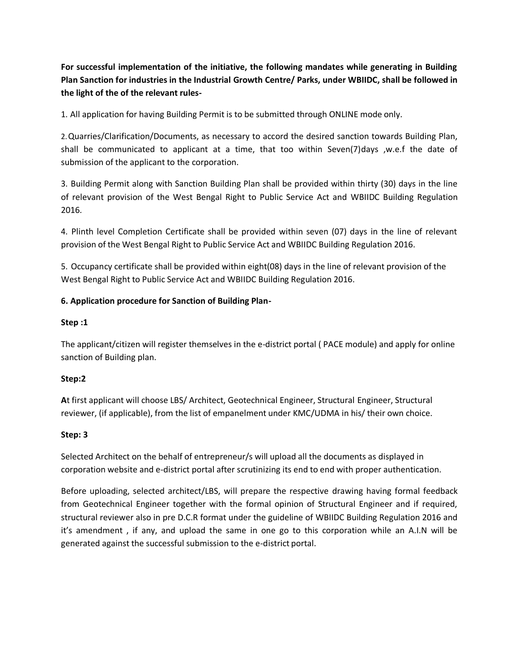**For successful implementation of the initiative, the following mandates while generating in Building Plan Sanction for industries in the Industrial Growth Centre/ Parks, under WBIIDC, shall be followed in the light of the of the relevant rules-**

1. All application for having Building Permit is to be submitted through ONLINE mode only.

2.Quarries/Clarification/Documents, as necessary to accord the desired sanction towards Building Plan, shall be communicated to applicant at a time, that too within Seven(7)days ,w.e.f the date of submission of the applicant to the corporation.

3. Building Permit along with Sanction Building Plan shall be provided within thirty (30) days in the line of relevant provision of the West Bengal Right to Public Service Act and WBIIDC Building Regulation 2016.

4. Plinth level Completion Certificate shall be provided within seven (07) days in the line of relevant provision of the West Bengal Right to Public Service Act and WBIIDC Building Regulation 2016.

5. Occupancy certificate shall be provided within eight(08) days in the line of relevant provision of the West Bengal Right to Public Service Act and WBIIDC Building Regulation 2016.

# **6. Application procedure for Sanction of Building Plan-**

### **Step :1**

The applicant/citizen will register themselves in the e-district portal ( PACE module) and apply for online sanction of Building plan.

## **Step:2**

**A**t first applicant will choose LBS/ Architect, Geotechnical Engineer, Structural Engineer, Structural reviewer, (if applicable), from the list of empanelment under KMC/UDMA in his/ their own choice.

#### **Step: 3**

Selected Architect on the behalf of entrepreneur/s will upload all the documents as displayed in corporation website and e-district portal after scrutinizing its end to end with proper authentication.

Before uploading, selected architect/LBS, will prepare the respective drawing having formal feedback from Geotechnical Engineer together with the formal opinion of Structural Engineer and if required, structural reviewer also in pre D.C.R format under the guideline of WBIIDC Building Regulation 2016 and it's amendment , if any, and upload the same in one go to this corporation while an A.I.N will be generated against the successful submission to the e-district portal.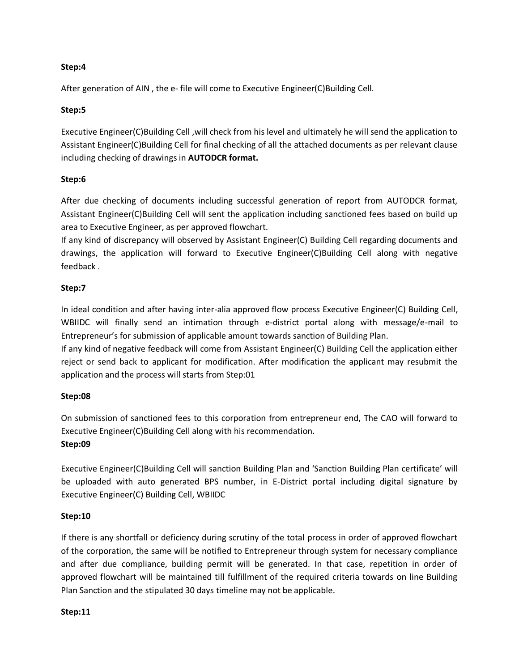### **Step:4**

After generation of AIN , the e- file will come to Executive Engineer(C)Building Cell.

### **Step:5**

Executive Engineer(C)Building Cell ,will check from his level and ultimately he will send the application to Assistant Engineer(C)Building Cell for final checking of all the attached documents as per relevant clause including checking of drawings in **AUTODCR format.**

### **Step:6**

After due checking of documents including successful generation of report from AUTODCR format, Assistant Engineer(C)Building Cell will sent the application including sanctioned fees based on build up area to Executive Engineer, as per approved flowchart.

If any kind of discrepancy will observed by Assistant Engineer(C) Building Cell regarding documents and drawings, the application will forward to Executive Engineer(C)Building Cell along with negative feedback .

### **Step:7**

In ideal condition and after having inter-alia approved flow process Executive Engineer(C) Building Cell, WBIIDC will finally send an intimation through e-district portal along with message/e-mail to Entrepreneur's for submission of applicable amount towards sanction of Building Plan.

If any kind of negative feedback will come from Assistant Engineer(C) Building Cell the application either reject or send back to applicant for modification. After modification the applicant may resubmit the application and the process will starts from Step:01

#### **Step:08**

On submission of sanctioned fees to this corporation from entrepreneur end, The CAO will forward to Executive Engineer(C)Building Cell along with his recommendation.

## **Step:09**

Executive Engineer(C)Building Cell will sanction Building Plan and 'Sanction Building Plan certificate' will be uploaded with auto generated BPS number, in E-District portal including digital signature by Executive Engineer(C) Building Cell, WBIIDC

## **Step:10**

If there is any shortfall or deficiency during scrutiny of the total process in order of approved flowchart of the corporation, the same will be notified to Entrepreneur through system for necessary compliance and after due compliance, building permit will be generated. In that case, repetition in order of approved flowchart will be maintained till fulfillment of the required criteria towards on line Building Plan Sanction and the stipulated 30 days timeline may not be applicable.

#### **Step:11**